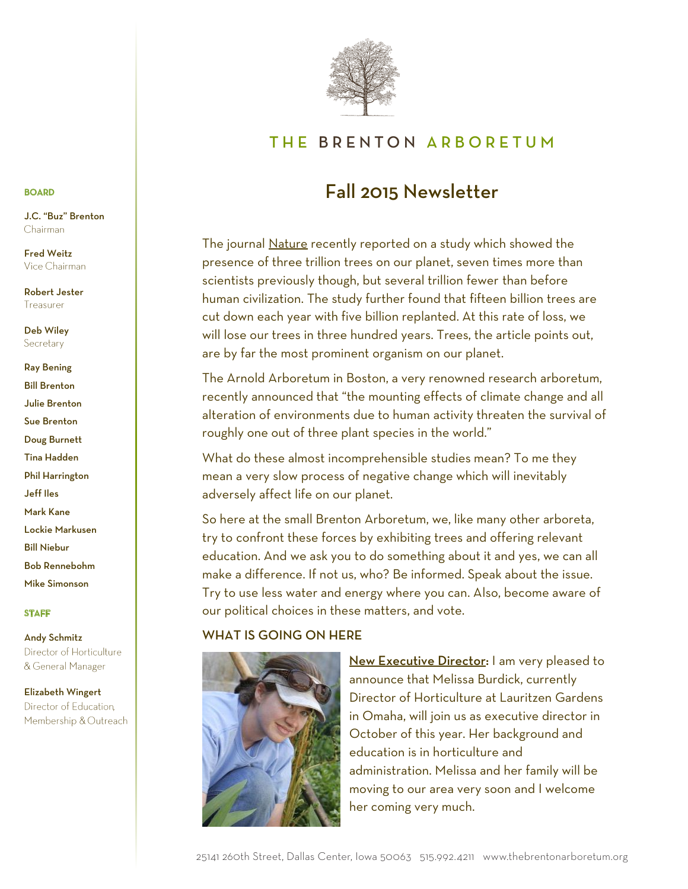

# THE BRENTON ARBORETUM

# Fall 2015 Newsletter

am happy to say this is starting to this is starting to two recent magazine magazine magazine magazine magazine The journal <u>Nature</u> recently reported on a study which showed the presence of three trillion trees on our planet, seven times more than .<br>scientists previously though, but several trillion fewer than before human civilization. The study further found that fifteen billion trees are cut down each year with five billion replanted. At this rate of loss, w will lose our trees in three hundred years. Trees, the article points out, are by far the most prominent organism on our planet. classes here at the Brenton Arboretum, as well as reciprocal free admission at other The journal <u>Nature</u> recently reported on a study which showed the cut down each year with five billion replanted. At this rate of loss, we

The Arnold Arboretum in Boston, a very renowned research arboretum,  $\overline{\phantom{a}}$  alteration of environments due to human activity threaten the survival of kiosk at the main entrance to pick one up and sign the guestion the guestion of roughly one out of three plant species in the world." recently announced that "the mounting effects of climate change and all

What do these almost incomprehensible studies mean? To me they mean a very slow process of negative change which will inevitably adversely affect life on our planet. The state of the state of the state of the state of the state o

planned giving to oak trees: "For planting is a matter of hope for years to come, which oo here at the small brenton Arboretum, we, like many other arboreta, try to confront these forces by exhibiting trees and offering relevant education. And we ask you to do something about it and yes, we can all make a difference. If not us, who? Be informed. Speak about the issue. lives that follow ours. our political choices in these matters, and vote. Try to use less water and energy where you can. Also, become aware of Try to use less water and energy where you can. Also, become aware of our political choices in these matters, and vote. So here at the small Brenton Arboretum, we, like many other arboreta,

#### WHAT IS GOING ON HERE WHAT IS GOING ON HERE northeast section of the participants of the parcel will be 260th Street curves. This East Meadow will be 260th Street curves of the participants of the participants of the participants of the participants of the participa New Executive Director: I am very pleased to



**Mew Executive Director**: I am very pleased to and wild flower species. "Why a meadow, and not a property species. "Why a meadow, and not a property species allifformation by the Iowa Prairie Network, currently and Iowa Prairie Network, is an ecosystem mostly of the Iowa Prairie Iowa Prairie Iowa Prairie Iowa Prairie Iowa Prairie Iowa Prairie Iowa Prairie Iowa Prairie Iowa Pra Director of Horticulture at Lauritzen Gardens and the contract of the contract of the contract of the contract of the contract of the contract of the contract of the contract of the contract of the contract of the contract of the contract of the contract of the contra **education is in the deep roots of this year. Her background and and see above 20 to be can see above 20 to be can see above 20 to be can see above 20 to be cap and in the see above 20 to be cap and in the see above 20 to**  $\mathbb{R}$  meadow is a broader term referring to a field vegetation  $\mathbb{R}$ administration. Melissa and her family will be moving to our area very soon and I welcome her coming very much. announce that Melissa Burdick, currently education is in horticulture and

# BOARD

Chairman J.C. "Buz" Brenton

Fred Weitz Vice Chairman

Robert Jester Treasurer

Deb Wiley Secretary

Ray Bening Bill Brenton Julie Brenton Sue Brenton Doug Burnett Tina Hadden Phil Harrington Jeff Iles Mark Kane **Bill Niebur** Bob Rennebohm Mike Simonson Lockie Markusen<br>. Ray Bening ability between **Julie Brenton** addon Burnett Phil Harrington **Jeff** 200 Mark Kasen Lockie Markusen Ray Bening bill Brenton The Frequent **Philips** Lockie Markusen

# STAFF Mike Simonson

Andy Schmitz Director of Horticulture & General Manager

and **Bob Rennes** 

abon Rennebohmed Bob Rennebohmed Bob Rennebohmed Bob Rennebohmed Bob Rennebohmed Bob Rennebohmed Bob Rennebohm

# Elizabeth Wingert Director of Education. Membershin & Outreach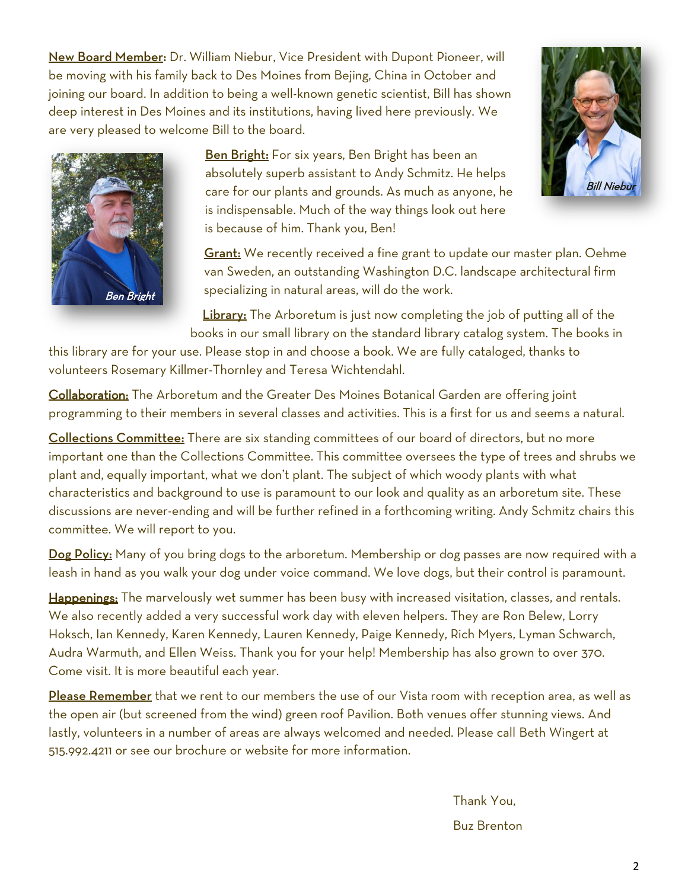New Board Member: Dr. William Niebur, Vice President with Dupont Pioneer, will be moving with his family back to Des Moines from Bejing, China in October and joining our board. In addition to being a well-known genetic scientist, Bill has shown deep interest in Des Moines and its institutions, having lived here previously. We are very pleased to welcome Bill to the board.

> Ben Bright: For six years, Ben Bright has been an absolutely superb assistant to Andy Schmitz. He helps care for our plants and grounds. As much as anyone, he is indispensable. Much of the way things look out here is because of him. Thank you, Ben!

Grant: We recently received a fine grant to update our master plan. Oehme van Sweden, an outstanding Washington D.C. landscape architectural firm specializing in natural areas, will do the work.

**Library:** The Arboretum is just now completing the job of putting all of the books in our small library on the standard library catalog system. The books in

this library are for your use. Please stop in and choose a book. We are fully cataloged, thanks to volunteers Rosemary Killmer-Thornley and Teresa Wichtendahl.

Collaboration: The Arboretum and the Greater Des Moines Botanical Garden are offering joint programming to their members in several classes and activities. This is a first for us and seems a natural.

Collections Committee: There are six standing committees of our board of directors, but no more important one than the Collections Committee. This committee oversees the type of trees and shrubs we plant and, equally important, what we don't plant. The subject of which woody plants with what characteristics and background to use is paramount to our look and quality as an arboretum site. These discussions are never-ending and will be further refined in a forthcoming writing. Andy Schmitz chairs this committee. We will report to you.

Dog Policy: Many of you bring dogs to the arboretum. Membership or dog passes are now required with a leash in hand as you walk your dog under voice command. We love dogs, but their control is paramount.

Happenings: The marvelously wet summer has been busy with increased visitation, classes, and rentals. We also recently added a very successful work day with eleven helpers. They are Ron Belew, Lorry Hoksch, Ian Kennedy, Karen Kennedy, Lauren Kennedy, Paige Kennedy, Rich Myers, Lyman Schwarch, Audra Warmuth, and Ellen Weiss. Thank you for your help! Membership has also grown to over 370. Come visit. It is more beautiful each year.

Please Remember that we rent to our members the use of our Vista room with reception area, as well as the open air (but screened from the wind) green roof Pavilion. Both venues offer stunning views. And lastly, volunteers in a number of areas are always welcomed and needed. Please call Beth Wingert at 515.992.4211 or see our brochure or website for more information.

> Thank You, Buz Brenton



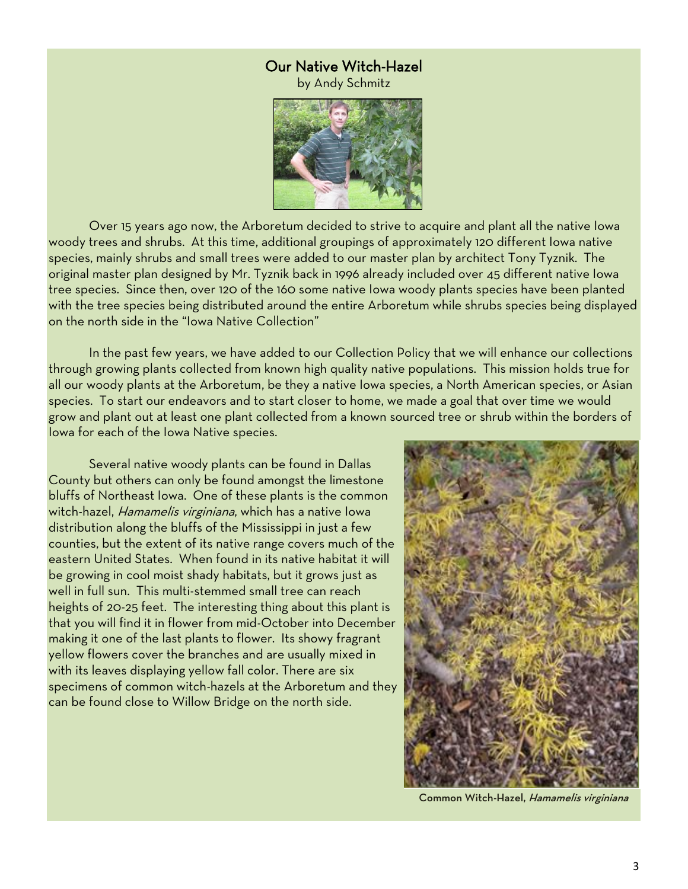# Our Native Witch-Hazel

by Andy Schmitz



Over 15 years ago now, the Arboretum decided to strive to acquire and plant all the native Iowa woody trees and shrubs. At this time, additional groupings of approximately 120 different Iowa native species, mainly shrubs and small trees were added to our master plan by architect Tony Tyznik. The original master plan designed by Mr. Tyznik back in 1996 already included over 45 different native Iowa tree species. Since then, over 120 of the 160 some native Iowa woody plants species have been planted with the tree species being distributed around the entire Arboretum while shrubs species being displayed on the north side in the "Iowa Native Collection"

In the past few years, we have added to our Collection Policy that we will enhance our collections through growing plants collected from known high quality native populations. This mission holds true for all our woody plants at the Arboretum, be they a native Iowa species, a North American species, or Asian species. To start our endeavors and to start closer to home, we made a goal that over time we would grow and plant out at least one plant collected from a known sourced tree or shrub within the borders of Iowa for each of the Iowa Native species.

Several native woody plants can be found in Dallas County but others can only be found amongst the limestone bluffs of Northeast Iowa. One of these plants is the common witch-hazel, Hamamelis virginiana, which has a native Iowa distribution along the bluffs of the Mississippi in just a few counties, but the extent of its native range covers much of the eastern United States. When found in its native habitat it will be growing in cool moist shady habitats, but it grows just as well in full sun. This multi-stemmed small tree can reach heights of 20-25 feet. The interesting thing about this plant is that you will find it in flower from mid-October into December making it one of the last plants to flower. Its showy fragrant yellow flowers cover the branches and are usually mixed in with its leaves displaying yellow fall color. There are six specimens of common witch-hazels at the Arboretum and they can be found close to Willow Bridge on the north side.



Common Witch-Hazel, Hamamelis virginiana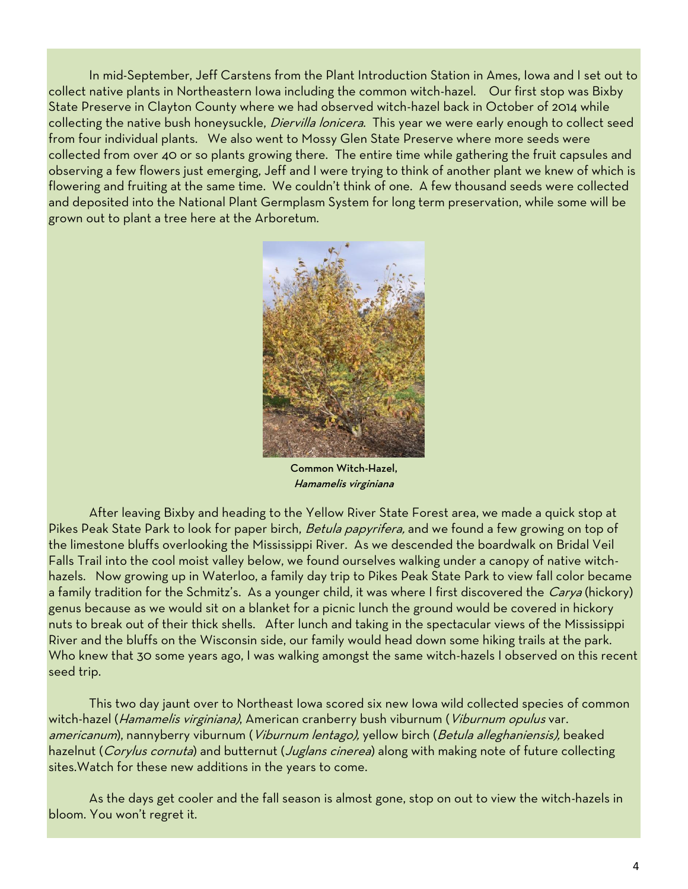In mid-September, Jeff Carstens from the Plant Introduction Station in Ames, Iowa and I set out to collect native plants in Northeastern Iowa including the common witch-hazel. Our first stop was Bixby State Preserve in Clayton County where we had observed witch-hazel back in October of 2014 while collecting the native bush honeysuckle, *Diervilla lonicera*. This year we were early enough to collect seed from four individual plants. We also went to Mossy Glen State Preserve where more seeds were collected from over 40 or so plants growing there. The entire time while gathering the fruit capsules and observing a few flowers just emerging, Jeff and I were trying to think of another plant we knew of which is flowering and fruiting at the same time. We couldn't think of one. A few thousand seeds were collected and deposited into the National Plant Germplasm System for long term preservation, while some will be grown out to plant a tree here at the Arboretum.



Common Witch-Hazel, Hamamelis virginiana

After leaving Bixby and heading to the Yellow River State Forest area, we made a quick stop at Pikes Peak State Park to look for paper birch, Betula papyrifera, and we found a few growing on top of the limestone bluffs overlooking the Mississippi River. As we descended the boardwalk on Bridal Veil Falls Trail into the cool moist valley below, we found ourselves walking under a canopy of native witchhazels. Now growing up in Waterloo, a family day trip to Pikes Peak State Park to view fall color became a family tradition for the Schmitz's. As a younger child, it was where I first discovered the Carya (hickory) genus because as we would sit on a blanket for a picnic lunch the ground would be covered in hickory nuts to break out of their thick shells. After lunch and taking in the spectacular views of the Mississippi River and the bluffs on the Wisconsin side, our family would head down some hiking trails at the park. Who knew that 30 some years ago, I was walking amongst the same witch-hazels I observed on this recent seed trip.

This two day jaunt over to Northeast Iowa scored six new Iowa wild collected species of common witch-hazel (Hamamelis virginiana), American cranberry bush viburnum (Viburnum opulus var. americanum), nannyberry viburnum (Viburnum lentago), yellow birch (Betula alleghaniensis), beaked hazelnut (Corylus cornuta) and butternut (Juglans cinerea) along with making note of future collecting sites.Watch for these new additions in the years to come.

As the days get cooler and the fall season is almost gone, stop on out to view the witch-hazels in bloom. You won't regret it.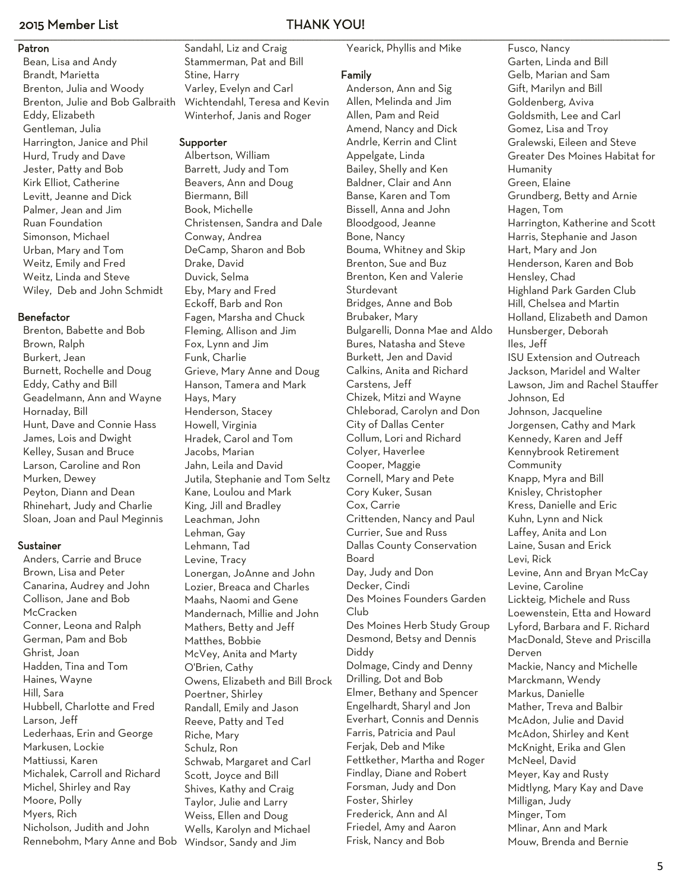# 2015 Member List THANK YOU!

# Patron

Bean, Lisa and Andy Brandt, Marietta Brenton, Julia and Woody Brenton, Julie and Bob Galbraith Eddy, Elizabeth Gentleman, Julia Harrington, Janice and Phil Hurd, Trudy and Dave Jester, Patty and Bob Kirk Elliot, Catherine Levitt, Jeanne and Dick Palmer, Jean and Jim Ruan Foundation Simonson, Michael Urban, Mary and Tom Weitz, Emily and Fred Weitz, Linda and Steve Wiley, Deb and John Schmidt

## Benefactor

Brenton, Babette and Bob Brown, Ralph Burkert, Jean Burnett, Rochelle and Doug Eddy, Cathy and Bill Geadelmann, Ann and Wayne Hornaday, Bill Hunt, Dave and Connie Hass James, Lois and Dwight Kelley, Susan and Bruce Larson, Caroline and Ron Murken, Dewey Peyton, Diann and Dean Rhinehart, Judy and Charlie Sloan, Joan and Paul Meginnis

### Sustainer

Anders, Carrie and Bruce Brown, Lisa and Peter Canarina, Audrey and John Collison, Jane and Bob **McCracken** Conner, Leona and Ralph German, Pam and Bob Ghrist, Joan Hadden, Tina and Tom Haines, Wayne Hill, Sara Hubbell, Charlotte and Fred Larson, Jeff Lederhaas, Erin and George Markusen, Lockie Mattiussi, Karen Michalek, Carroll and Richard Michel, Shirley and Ray Moore, Polly Myers, Rich Nicholson, Judith and John Rennebohm, Mary Anne and Bob Windsor, Sandy and Jim

## \_\_\_\_\_\_\_\_\_\_\_\_\_\_\_\_\_\_\_\_\_\_\_\_\_\_\_\_\_\_\_\_\_\_\_\_\_\_\_\_\_\_\_\_\_\_\_\_\_\_\_\_\_\_\_\_\_\_\_\_\_\_\_\_\_\_\_\_\_\_\_\_\_\_\_\_\_\_\_\_\_\_\_\_\_\_\_\_\_\_\_\_\_\_\_\_\_\_\_\_\_\_\_\_\_\_\_\_\_\_\_\_\_\_\_\_\_\_\_\_\_\_\_\_\_\_\_\_\_\_\_\_\_\_\_\_\_\_\_\_\_\_\_\_\_\_\_\_\_\_\_\_\_\_\_\_\_\_\_\_\_\_\_\_\_\_\_\_\_\_\_\_\_\_\_\_\_\_\_\_\_\_\_\_\_\_\_\_\_\_\_\_\_\_\_\_\_\_\_\_\_\_\_\_\_\_\_\_\_\_\_\_\_\_\_\_\_\_\_\_\_\_\_\_\_\_\_\_\_\_\_\_\_\_\_\_\_\_\_\_\_\_\_\_\_\_\_\_\_\_\_\_\_\_\_\_\_\_\_\_\_\_\_\_\_\_\_\_\_\_\_\_\_\_\_\_\_\_\_\_\_\_\_\_\_\_\_\_\_\_\_\_\_\_\_\_\_\_\_\_\_\_\_\_\_\_\_\_\_\_\_\_\_\_\_\_\_\_\_\_\_\_\_\_\_\_\_\_\_\_\_\_\_\_\_\_\_\_\_\_\_\_\_\_\_\_\_\_\_\_\_\_\_\_\_\_\_\_\_\_\_\_\_\_\_\_\_\_\_\_\_\_\_\_\_\_\_\_\_\_\_\_\_\_\_\_\_\_\_\_\_\_\_\_\_\_\_\_\_\_\_\_\_\_\_\_\_\_\_\_\_\_\_\_\_\_\_\_\_\_\_\_\_\_\_\_\_\_\_\_\_\_\_\_\_\_\_\_\_\_\_\_\_\_\_\_\_\_\_\_\_\_\_\_\_ Sandahl, Liz and Craig Stammerman, Pat and Bill Stine, Harry

Varley, Evelyn and Carl Wichtendahl, Teresa and Kevin Winterhof, Janis and Roger

# Supporter

Albertson, William Barrett, Judy and Tom Beavers, Ann and Doug Biermann, Bill Book, Michelle Christensen, Sandra and Dale Conway, Andrea DeCamp, Sharon and Bob Drake, David Duvick, Selma Eby, Mary and Fred Eckoff, Barb and Ron Fagen, Marsha and Chuck Fleming, Allison and Jim Fox, Lynn and Jim Funk, Charlie Grieve, Mary Anne and Doug Hanson, Tamera and Mark Hays, Mary Henderson, Stacey Howell, Virginia Hradek, Carol and Tom Jacobs, Marian Jahn, Leila and David Jutila, Stephanie and Tom Seltz Kane, Loulou and Mark King, Jill and Bradley Leachman, John Lehman, Gay Lehmann, Tad Levine, Tracy Lonergan, JoAnne and John Lozier, Breaca and Charles Maahs, Naomi and Gene Mandernach, Millie and John Mathers, Betty and Jeff Matthes, Bobbie McVey, Anita and Marty O'Brien, Cathy Owens, Elizabeth and Bill Brock Poertner, Shirley Randall, Emily and Jason Reeve, Patty and Ted Riche, Mary Schulz, Ron Schwab, Margaret and Carl Scott, Joyce and Bill Shives, Kathy and Craig Taylor, Julie and Larry Weiss, Ellen and Doug Wells, Karolyn and Michael

Yearick, Phyllis and Mike

## Family

Anderson, Ann and Sig Allen, Melinda and Jim Allen, Pam and Reid Amend, Nancy and Dick Andrle, Kerrin and Clint Appelgate, Linda Bailey, Shelly and Ken Baldner, Clair and Ann Banse, Karen and Tom Bissell, Anna and John Bloodgood, Jeanne Bone, Nancy Bouma, Whitney and Skip Brenton, Sue and Buz Brenton, Ken and Valerie **Sturdevant** Bridges, Anne and Bob Brubaker, Mary Bulgarelli, Donna Mae and Aldo Bures, Natasha and Steve Burkett, Jen and David Calkins, Anita and Richard Carstens, Jeff Chizek, Mitzi and Wayne Chleborad, Carolyn and Don City of Dallas Center Collum, Lori and Richard Colyer, Haverlee Cooper, Maggie Cornell, Mary and Pete Cory Kuker, Susan Cox, Carrie Crittenden, Nancy and Paul Currier, Sue and Russ Dallas County Conservation Board Day, Judy and Don Decker, Cindi Des Moines Founders Garden Club Des Moines Herb Study Group Desmond, Betsy and Dennis Diddy Dolmage, Cindy and Denny Drilling, Dot and Bob Elmer, Bethany and Spencer Engelhardt, Sharyl and Jon Everhart, Connis and Dennis Farris, Patricia and Paul Ferjak, Deb and Mike Fettkether, Martha and Roger Findlay, Diane and Robert Forsman, Judy and Don Foster, Shirley Frederick, Ann and Al Friedel, Amy and Aaron Frisk, Nancy and Bob

Fusco, Nancy Garten, Linda and Bill Gelb, Marian and Sam Gift, Marilyn and Bill Goldenberg, Aviva Goldsmith, Lee and Carl Gomez, Lisa and Troy Gralewski, Eileen and Steve Greater Des Moines Habitat for Humanity Green, Elaine Grundberg, Betty and Arnie Hagen, Tom Harrington, Katherine and Scott Harris, Stephanie and Jason Hart, Mary and Jon Henderson, Karen and Bob Hensley, Chad Highland Park Garden Club Hill, Chelsea and Martin Holland, Elizabeth and Damon Hunsberger, Deborah Iles, Jeff ISU Extension and Outreach Jackson, Maridel and Walter Lawson, Jim and Rachel Stauffer Johnson, Ed Johnson, Jacqueline Jorgensen, Cathy and Mark Kennedy, Karen and Jeff Kennybrook Retirement Community Knapp, Myra and Bill Knisley, Christopher Kress, Danielle and Eric Kuhn, Lynn and Nick Laffey, Anita and Lon Laine, Susan and Erick Levi, Rick Levine, Ann and Bryan McCay Levine, Caroline Lickteig, Michele and Russ Loewenstein, Etta and Howard Lyford, Barbara and F. Richard MacDonald, Steve and Priscilla Derven Mackie, Nancy and Michelle Marckmann, Wendy Markus, Danielle Mather, Treva and Balbir McAdon, Julie and David McAdon, Shirley and Kent McKnight, Erika and Glen McNeel, David Meyer, Kay and Rusty Midtlyng, Mary Kay and Dave Milligan, Judy Minger, Tom Mlinar, Ann and Mark Mouw, Brenda and Bernie